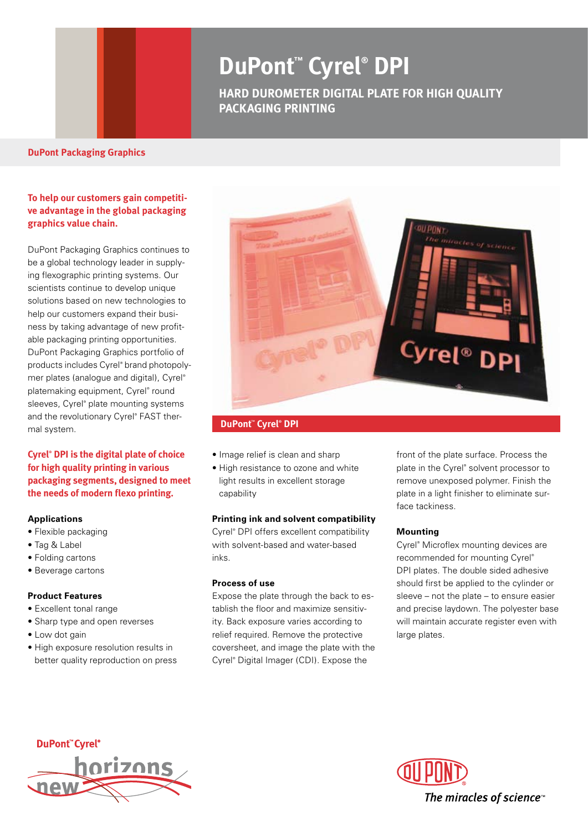# **DuPont™ Cyrel® DPI**

**HARD DUROMETER DIGITAL PLATE FOR HIGH QUALITY PACKAGING printing**

#### **DuPont Packaging Graphics**

## **To help our customers gain competitive advantage in the global packaging graphics value chain.**

DuPont Packaging Graphics continues to be a global technology leader in supplying flexographic printing systems. Our scientists continue to develop unique solutions based on new technologies to help our customers expand their business by taking advantage of new profitable packaging printing opportunities. DuPont Packaging Graphics portfolio of products includes Cyrel® brand photopolymer plates (analogue and digital), Cyrel® platemaking equipment, Cyrel® round sleeves, Cyrel® plate mounting systems and the revolutionary Cyrel® FAST thermal system.

**Cyrel® DPI is the digital plate of choice for high quality printing in various packaging segments, designed to meet the needs of modern flexo printing.** 

#### **Applications**

- Flexible packaging
- Tag & Label
- Folding cartons
- Beverage cartons

### **Product Features**

- Excellent tonal range
- Sharp type and open reverses
- Low dot gain
- High exposure resolution results in better quality reproduction on press



#### **DuPont<sup>™</sup> Cyrel® DPI**

- Image relief is clean and sharp
- High resistance to ozone and white light results in excellent storage capability

#### **Printing ink and solvent compatibility**

Cyrel® DPI offers excellent compatibility with solvent-based and water-based inks.

#### **Process of use**

Expose the plate through the back to establish the floor and maximize sensitivity. Back exposure varies according to relief required. Remove the protective coversheet, and image the plate with the Cyrel® Digital Imager (CDI). Expose the

front of the plate surface. Process the plate in the Cyrel® solvent processor to remove unexposed polymer. Finish the plate in a light finisher to eliminate surface tackiness.

#### **Mounting**

Cyrel® Microflex mounting devices are recommended for mounting Cyrel® DPI plates. The double sided adhesive should first be applied to the cylinder or sleeve – not the plate – to ensure easier and precise laydown. The polyester base will maintain accurate register even with large plates.